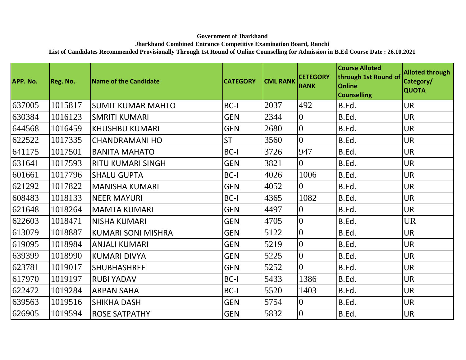## **Government of Jharkhand**

## **Jharkhand Combined Entrance Competitive Examination Board, Ranchi**

**List of Candidates Recommended Provisionally Through 1st Round of Online Counselling for Admission in B.Ed Course Date : 26.10.2021**

| APP. No. | Reg. No. | Name of the Candidate     | <b>CATEGORY</b> | <b>CML RANK</b> | <b>CETEGORY</b><br><b>RANK</b> | <b>Course Alloted</b><br>through 1st Round of<br><b>Online</b><br><b>Counselling</b> | <b>Alloted through</b><br>Category/<br><b>QUOTA</b> |
|----------|----------|---------------------------|-----------------|-----------------|--------------------------------|--------------------------------------------------------------------------------------|-----------------------------------------------------|
| 637005   | 1015817  | <b>SUMIT KUMAR MAHTO</b>  | <b>BC-I</b>     | 2037            | 492                            | B.Ed.                                                                                | <b>UR</b>                                           |
| 630384   | 1016123  | <b>SMRITI KUMARI</b>      | <b>GEN</b>      | 2344            | $\overline{0}$                 | B.Ed.                                                                                | <b>UR</b>                                           |
| 644568   | 1016459  | <b>KHUSHBU KUMARI</b>     | <b>GEN</b>      | 2680            | $\overline{0}$                 | B.Ed.                                                                                | <b>UR</b>                                           |
| 622522   | 1017335  | <b>CHANDRAMANI HO</b>     | <b>ST</b>       | 3560            | $\overline{0}$                 | B.Ed.                                                                                | <b>UR</b>                                           |
| 641175   | 1017501  | <b>BANITA MAHATO</b>      | BC-I            | 3726            | 947                            | B.Ed.                                                                                | <b>UR</b>                                           |
| 631641   | 1017593  | <b>RITU KUMARI SINGH</b>  | <b>GEN</b>      | 3821            | $\overline{0}$                 | B.Ed.                                                                                | <b>UR</b>                                           |
| 601661   | 1017796  | <b>SHALU GUPTA</b>        | BC-I            | 4026            | 1006                           | B.Ed.                                                                                | <b>UR</b>                                           |
| 621292   | 1017822  | <b>MANISHA KUMARI</b>     | <b>GEN</b>      | 4052            | $\overline{0}$                 | B.Ed.                                                                                | <b>UR</b>                                           |
| 608483   | 1018133  | <b>NEER MAYURI</b>        | BC-I            | 4365            | 1082                           | B.Ed.                                                                                | <b>UR</b>                                           |
| 621648   | 1018264  | <b>MAMTA KUMARI</b>       | <b>GEN</b>      | 4497            | $\overline{0}$                 | B.Ed.                                                                                | <b>UR</b>                                           |
| 622603   | 1018471  | <b>NISHA KUMARI</b>       | <b>GEN</b>      | 4705            | $\overline{0}$                 | B.Ed.                                                                                | <b>UR</b>                                           |
| 613079   | 1018887  | <b>KUMARI SONI MISHRA</b> | <b>GEN</b>      | 5122            | $\overline{0}$                 | B.Ed.                                                                                | <b>UR</b>                                           |
| 619095   | 1018984  | <b>ANJALI KUMARI</b>      | <b>GEN</b>      | 5219            | $\overline{0}$                 | B.Ed.                                                                                | <b>UR</b>                                           |
| 639399   | 1018990  | <b>KUMARI DIVYA</b>       | <b>GEN</b>      | 5225            | $\overline{0}$                 | B.Ed.                                                                                | <b>UR</b>                                           |
| 623781   | 1019017  | <b>SHUBHASHREE</b>        | <b>GEN</b>      | 5252            | $\overline{0}$                 | B.Ed.                                                                                | <b>UR</b>                                           |
| 617970   | 1019197  | <b>RUBI YADAV</b>         | BC-I            | 5433            | 1386                           | B.Ed.                                                                                | <b>UR</b>                                           |
| 622472   | 1019284  | <b>ARPAN SAHA</b>         | BC-I            | 5520            | 1403                           | B.Ed.                                                                                | <b>UR</b>                                           |
| 639563   | 1019516  | <b>SHIKHA DASH</b>        | <b>GEN</b>      | 5754            | $\overline{0}$                 | B.Ed.                                                                                | <b>UR</b>                                           |
| 626905   | 1019594  | <b>ROSE SATPATHY</b>      | <b>GEN</b>      | 5832            | $\overline{0}$                 | B.Ed.                                                                                | <b>UR</b>                                           |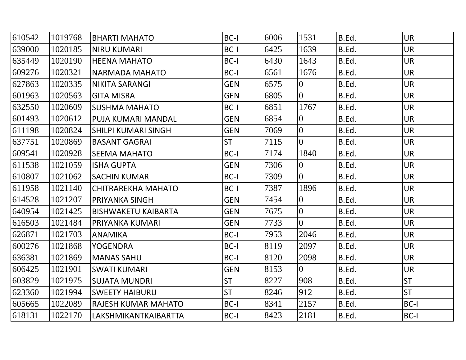| 610542 | 1019768 | BHARTI MAHATO              | BC-I       | 6006 | 1531           | B.Ed. | <b>UR</b>   |
|--------|---------|----------------------------|------------|------|----------------|-------|-------------|
| 639000 | 1020185 | <b>NIRU KUMARI</b>         | BC-I       | 6425 | 1639           | B.Ed. | <b>UR</b>   |
| 635449 | 1020190 | <b>HEENA MAHATO</b>        | BC-I       | 6430 | 1643           | B.Ed. | <b>UR</b>   |
| 609276 | 1020321 | NARMADA MAHATO             | BC-I       | 6561 | 1676           | B.Ed. | <b>UR</b>   |
| 627863 | 1020335 | NIKITA SARANGI             | <b>GEN</b> | 6575 | $\overline{0}$ | B.Ed. | <b>UR</b>   |
| 601963 | 1020563 | <b>GITA MISRA</b>          | <b>GEN</b> | 6805 | $\overline{0}$ | B.Ed. | <b>UR</b>   |
| 632550 | 1020609 | <b>SUSHMA MAHATO</b>       | BC-I       | 6851 | 1767           | B.Ed. | <b>UR</b>   |
| 601493 | 1020612 | <b>PUJA KUMARI MANDAL</b>  | <b>GEN</b> | 6854 | $\overline{0}$ | B.Ed. | <b>UR</b>   |
| 611198 | 1020824 | SHILPI KUMARI SINGH        | <b>GEN</b> | 7069 | $\overline{0}$ | B.Ed. | <b>UR</b>   |
| 637751 | 1020869 | <b>BASANT GAGRAI</b>       | <b>ST</b>  | 7115 | $\overline{0}$ | B.Ed. | <b>UR</b>   |
| 609541 | 1020928 | <b>SEEMA MAHATO</b>        | BC-I       | 7174 | 1840           | B.Ed. | <b>UR</b>   |
| 611538 | 1021059 | <b>ISHA GUPTA</b>          | <b>GEN</b> | 7306 | $\overline{0}$ | B.Ed. | <b>UR</b>   |
| 610807 | 1021062 | <b>SACHIN KUMAR</b>        | BC-I       | 7309 | $\overline{0}$ | B.Ed. | <b>UR</b>   |
| 611958 | 1021140 | <b>CHITRAREKHA MAHATO</b>  | BC-I       | 7387 | 1896           | B.Ed. | <b>UR</b>   |
| 614528 | 1021207 | <b>PRIYANKA SINGH</b>      | <b>GEN</b> | 7454 | $\overline{0}$ | B.Ed. | <b>UR</b>   |
| 640954 | 1021425 | <b>BISHWAKETU KAIBARTA</b> | <b>GEN</b> | 7675 | $\overline{0}$ | B.Ed. | <b>UR</b>   |
| 616503 | 1021484 | PRIYANKA KUMARI            | <b>GEN</b> | 7733 | $\overline{0}$ | B.Ed. | <b>UR</b>   |
| 626871 | 1021703 | ANAMIKA                    | BC-I       | 7953 | 2046           | B.Ed. | <b>UR</b>   |
| 600276 | 1021868 | <b>YOGENDRA</b>            | BC-I       | 8119 | 2097           | B.Ed. | <b>UR</b>   |
| 636381 | 1021869 | <b>MANAS SAHU</b>          | BC-I       | 8120 | 2098           | B.Ed. | <b>UR</b>   |
| 606425 | 1021901 | <b>SWATI KUMARI</b>        | <b>GEN</b> | 8153 | $\overline{0}$ | B.Ed. | <b>UR</b>   |
| 603829 | 1021975 | SUJATA MUNDRI              | <b>ST</b>  | 8227 | 908            | B.Ed. | <b>ST</b>   |
| 623360 | 1021994 | <b>SWEETY HAIBURU</b>      | <b>ST</b>  | 8246 | 912            | B.Ed. | <b>ST</b>   |
| 605665 | 1022089 | <b>RAJESH KUMAR MAHATO</b> | BC-I       | 8341 | 2157           | B.Ed. | BC-I        |
| 618131 | 1022170 | LAKSHMIKANTKAIBARTTA       | BC-I       | 8423 | 2181           | B.Ed. | <b>BC-I</b> |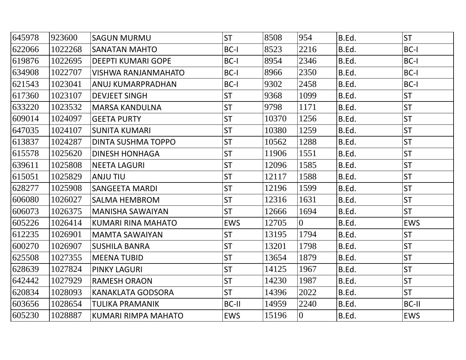| 645978 | 923600  | <b>SAGUN MURMU</b>         | <b>ST</b>  | 8508  | 954            | B.Ed. | <b>ST</b>  |
|--------|---------|----------------------------|------------|-------|----------------|-------|------------|
| 622066 | 1022268 | <b>SANATAN MAHTO</b>       | BC-I       | 8523  | 2216           | B.Ed. | BC-I       |
| 619876 | 1022695 | <b>DEEPTI KUMARI GOPE</b>  | BC-I       | 8954  | 2346           | B.Ed. | BC-I       |
| 634908 | 1022707 | <b>VISHWA RANJANMAHATO</b> | BC-I       | 8966  | 2350           | B.Ed. | BC-I       |
| 621543 | 1023041 | ANUJ KUMARPRADHAN          | BC-I       | 9302  | 2458           | B.Ed. | BC-I       |
| 617360 | 1023107 | <b>DEVJEET SINGH</b>       | <b>ST</b>  | 9368  | 1099           | B.Ed. | <b>ST</b>  |
| 633220 | 1023532 | <b>MARSA KANDULNA</b>      | <b>ST</b>  | 9798  | 1171           | B.Ed. | <b>ST</b>  |
| 609014 | 1024097 | <b>GEETA PURTY</b>         | <b>ST</b>  | 10370 | 1256           | B.Ed. | <b>ST</b>  |
| 647035 | 1024107 | <b>SUNITA KUMARI</b>       | <b>ST</b>  | 10380 | 1259           | B.Ed. | <b>ST</b>  |
| 613837 | 1024287 | DINTA SUSHMA TOPPO         | <b>ST</b>  | 10562 | 1288           | B.Ed. | <b>ST</b>  |
| 615578 | 1025620 | <b>DINESH HONHAGA</b>      | <b>ST</b>  | 11906 | 1551           | B.Ed. | <b>ST</b>  |
| 639611 | 1025808 | <b>NEETA LAGURI</b>        | <b>ST</b>  | 12096 | 1585           | B.Ed. | <b>ST</b>  |
| 615051 | 1025829 | <b>ANJU TIU</b>            | <b>ST</b>  | 12117 | 1588           | B.Ed. | <b>ST</b>  |
| 628277 | 1025908 | <b>SANGEETA MARDI</b>      | <b>ST</b>  | 12196 | 1599           | B.Ed. | <b>ST</b>  |
| 606080 | 1026027 | <b>SALMA HEMBROM</b>       | <b>ST</b>  | 12316 | 1631           | B.Ed. | <b>ST</b>  |
| 606073 | 1026375 | <b>MANISHA SAWAIYAN</b>    | <b>ST</b>  | 12666 | 1694           | B.Ed. | <b>ST</b>  |
| 605226 | 1026414 | <b>KUMARI RINA MAHATO</b>  | <b>EWS</b> | 12705 | $\overline{0}$ | B.Ed. | <b>EWS</b> |
| 612235 | 1026901 | <b>MAMTA SAWAIYAN</b>      | <b>ST</b>  | 13195 | 1794           | B.Ed. | <b>ST</b>  |
| 600270 | 1026907 | <b>SUSHILA BANRA</b>       | <b>ST</b>  | 13201 | 1798           | B.Ed. | <b>ST</b>  |
| 625508 | 1027355 | <b>MEENA TUBID</b>         | <b>ST</b>  | 13654 | 1879           | B.Ed. | <b>ST</b>  |
| 628639 | 1027824 | <b>PINKY LAGURI</b>        | <b>ST</b>  | 14125 | 1967           | B.Ed. | <b>ST</b>  |
| 642442 | 1027929 | <b>RAMESH ORAON</b>        | <b>ST</b>  | 14230 | 1987           | B.Ed. | <b>ST</b>  |
| 620834 | 1028093 | <b>KANAKLATA GODSORA</b>   | <b>ST</b>  | 14396 | 2022           | B.Ed. | <b>ST</b>  |
| 603656 | 1028654 | <b>TULIKA PRAMANIK</b>     | BC-II      | 14959 | 2240           | B.Ed. | BC-II      |
| 605230 | 1028887 | <b>KUMARI RIMPA MAHATO</b> | <b>EWS</b> | 15196 | $\overline{0}$ | B.Ed. | <b>EWS</b> |